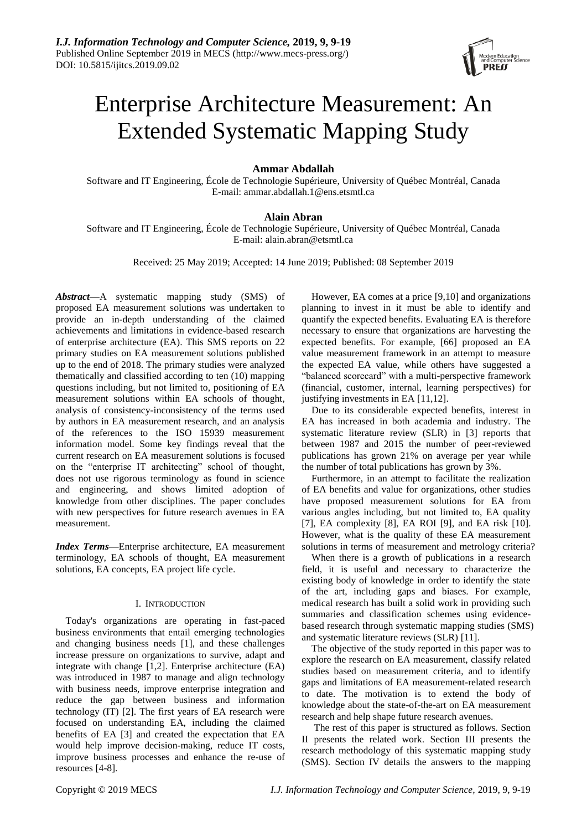

# Enterprise Architecture Measurement: An Extended Systematic Mapping Study

## **Ammar Abdallah**

Software and IT Engineering, École de Technologie Supérieure, University of Québec Montréal, Canada E-mail: ammar.abdallah.1@ens.etsmtl.ca

# **Alain Abran**

Software and IT Engineering, École de Technologie Supérieure, University of Québec Montréal, Canada E-mail: alain.abran@etsmtl.ca

Received: 25 May 2019; Accepted: 14 June 2019; Published: 08 September 2019

*Abstract***—**A systematic mapping study (SMS) of proposed EA measurement solutions was undertaken to provide an in-depth understanding of the claimed achievements and limitations in evidence-based research of enterprise architecture (EA). This SMS reports on 22 primary studies on EA measurement solutions published up to the end of 2018. The primary studies were analyzed thematically and classified according to ten (10) mapping questions including, but not limited to, positioning of EA measurement solutions within EA schools of thought, analysis of consistency-inconsistency of the terms used by authors in EA measurement research, and an analysis of the references to the ISO 15939 measurement information model. Some key findings reveal that the current research on EA measurement solutions is focused on the "enterprise IT architecting" school of thought, does not use rigorous terminology as found in science and engineering, and shows limited adoption of knowledge from other disciplines. The paper concludes with new perspectives for future research avenues in EA measurement.

*Index Terms***—**Enterprise architecture, EA measurement terminology, EA schools of thought, EA measurement solutions, EA concepts, EA project life cycle.

#### I. INTRODUCTION

Today's organizations are operating in fast-paced business environments that entail emerging technologies and changing business needs [1], and these challenges increase pressure on organizations to survive, adapt and integrate with change [1,2]. Enterprise architecture (EA) was introduced in 1987 to manage and align technology with business needs, improve enterprise integration and reduce the gap between business and information technology (IT) [2]. The first years of EA research were focused on understanding EA, including the claimed benefits of EA [3] and created the expectation that EA would help improve decision-making, reduce IT costs, improve business processes and enhance the re-use of resources [4-8].

However, EA comes at a price [9,10] and organizations planning to invest in it must be able to identify and quantify the expected benefits. Evaluating EA is therefore necessary to ensure that organizations are harvesting the expected benefits. For example, [66] proposed an EA value measurement framework in an attempt to measure the expected EA value, while others have suggested a "balanced scorecard" with a multi-perspective framework (financial, customer, internal, learning perspectives) for justifying investments in EA [11,12].

Due to its considerable expected benefits, interest in EA has increased in both academia and industry. The systematic literature review (SLR) in [3] reports that between 1987 and 2015 the number of peer-reviewed publications has grown 21% on average per year while the number of total publications has grown by 3%.

Furthermore, in an attempt to facilitate the realization of EA benefits and value for organizations, other studies have proposed measurement solutions for EA from various angles including, but not limited to, EA quality [7], EA complexity [8], EA ROI [9], and EA risk [10]. However, what is the quality of these EA measurement solutions in terms of measurement and metrology criteria?

When there is a growth of publications in a research field, it is useful and necessary to characterize the existing body of knowledge in order to identify the state of the art, including gaps and biases. For example, medical research has built a solid work in providing such summaries and classification schemes using evidencebased research through systematic mapping studies (SMS) and systematic literature reviews (SLR) [11].

The objective of the study reported in this paper was to explore the research on EA measurement, classify related studies based on measurement criteria, and to identify gaps and limitations of EA measurement-related research to date. The motivation is to extend the body of knowledge about the state-of-the-art on EA measurement research and help shape future research avenues.

The rest of this paper is structured as follows. Section II presents the related work. Section III presents the research methodology of this systematic mapping study (SMS). Section IV details the answers to the mapping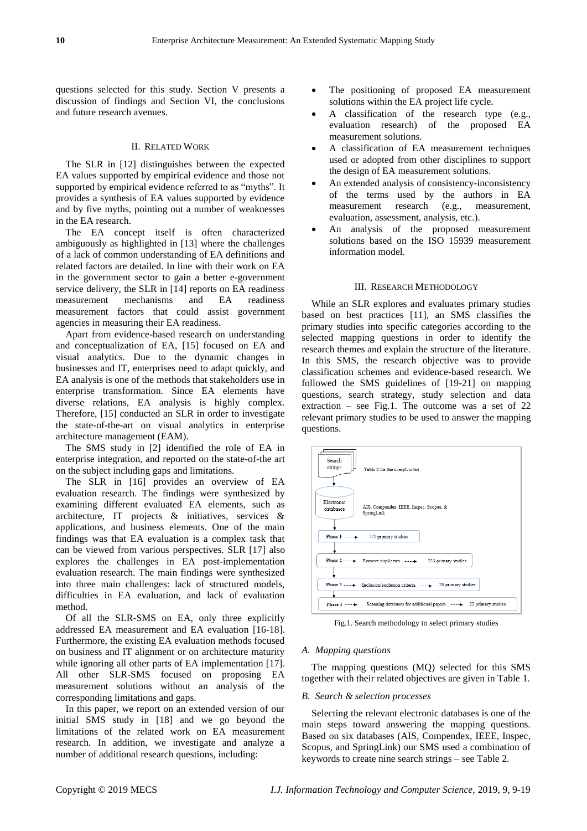questions selected for this study. Section V presents a discussion of findings and Section VI, the conclusions and future research avenues.

## II. RELATED WORK

The SLR in [12] distinguishes between the expected EA values supported by empirical evidence and those not supported by empirical evidence referred to as "myths". It provides a synthesis of EA values supported by evidence and by five myths, pointing out a number of weaknesses in the EA research.

The EA concept itself is often characterized ambiguously as highlighted in [13] where the challenges of a lack of common understanding of EA definitions and related factors are detailed. In line with their work on EA in the government sector to gain a better e-government service delivery, the SLR in [14] reports on EA readiness measurement mechanisms and EA readiness measurement factors that could assist government agencies in measuring their EA readiness.

Apart from evidence-based research on understanding and conceptualization of EA, [15] focused on EA and visual analytics. Due to the dynamic changes in businesses and IT, enterprises need to adapt quickly, and EA analysis is one of the methods that stakeholders use in enterprise transformation. Since EA elements have diverse relations, EA analysis is highly complex. Therefore, [15] conducted an SLR in order to investigate the state-of-the-art on visual analytics in enterprise architecture management (EAM).

The SMS study in [2] identified the role of EA in enterprise integration, and reported on the state-of-the art on the subject including gaps and limitations.

The SLR in [16] provides an overview of EA evaluation research. The findings were synthesized by examining different evaluated EA elements, such as architecture, IT projects & initiatives, services & applications, and business elements. One of the main findings was that EA evaluation is a complex task that can be viewed from various perspectives. SLR [17] also explores the challenges in EA post-implementation evaluation research. The main findings were synthesized into three main challenges: lack of structured models, difficulties in EA evaluation, and lack of evaluation method.

Of all the SLR-SMS on EA, only three explicitly addressed EA measurement and EA evaluation [16-18]. Furthermore, the existing EA evaluation methods focused on business and IT alignment or on architecture maturity while ignoring all other parts of EA implementation [17]. All other SLR-SMS focused on proposing EA measurement solutions without an analysis of the corresponding limitations and gaps.

In this paper, we report on an extended version of our initial SMS study in [18] and we go beyond the limitations of the related work on EA measurement research. In addition, we investigate and analyze a number of additional research questions, including:

- The positioning of proposed EA measurement solutions within the EA project life cycle.
- A classification of the research type (e.g., evaluation research) of the proposed EA measurement solutions.
- A classification of EA measurement techniques used or adopted from other disciplines to support the design of EA measurement solutions.
- An extended analysis of consistency-inconsistency of the terms used by the authors in EA measurement research (e.g., measurement, evaluation, assessment, analysis, etc.).
- An analysis of the proposed measurement solutions based on the ISO 15939 measurement information model.

#### III. RESEARCH METHODOLOGY

While an SLR explores and evaluates primary studies based on best practices [11], an SMS classifies the primary studies into specific categories according to the selected mapping questions in order to identify the research themes and explain the structure of the literature. In this SMS, the research objective was to provide classification schemes and evidence-based research. We followed the SMS guidelines of [19-21] on mapping questions, search strategy, study selection and data extraction – see Fig.1. The outcome was a set of 22 relevant primary studies to be used to answer the mapping questions.



Fig.1. Search methodology to select primary studies

#### *A. Mapping questions*

The mapping questions (MQ) selected for this SMS together with their related objectives are given in Table 1.

#### *B. Search & selection processes*

Selecting the relevant electronic databases is one of the main steps toward answering the mapping questions. Based on six databases (AIS, Compendex, IEEE, Inspec, Scopus, and SpringLink) our SMS used a combination of keywords to create nine search strings – see Table 2.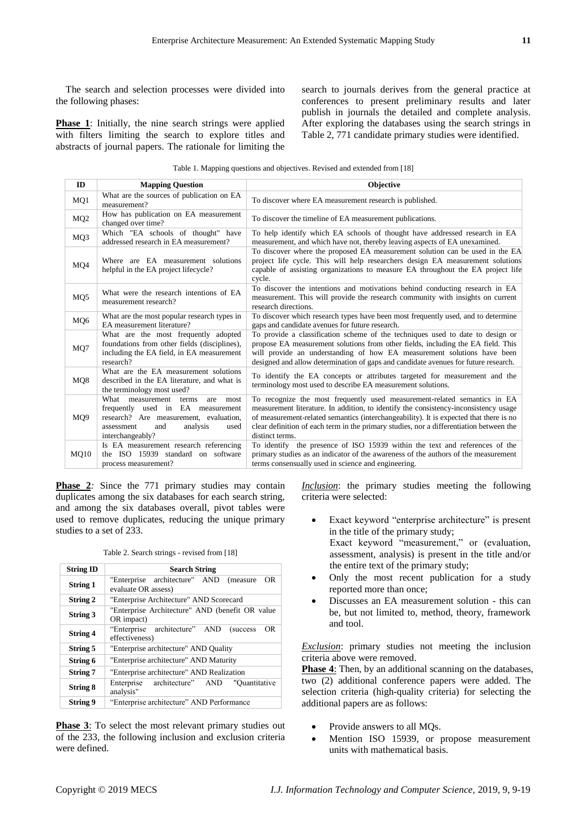The search and selection processes were divided into the following phases:

**Phase 1**: Initially, the nine search strings were applied with filters limiting the search to explore titles and abstracts of journal papers. The rationale for limiting the search to journals derives from the general practice at conferences to present preliminary results and later publish in journals the detailed and complete analysis. After exploring the databases using the search strings in Table 2, 771 candidate primary studies were identified.

|  | Table 1. Mapping questions and objectives. Revised and extended from [18] |
|--|---------------------------------------------------------------------------|
|--|---------------------------------------------------------------------------|

| ID              | <b>Mapping Question</b>                                                                                                                                                           | <b>Objective</b>                                                                                                                                                                                                                                                                                                                                                          |
|-----------------|-----------------------------------------------------------------------------------------------------------------------------------------------------------------------------------|---------------------------------------------------------------------------------------------------------------------------------------------------------------------------------------------------------------------------------------------------------------------------------------------------------------------------------------------------------------------------|
| MO1             | What are the sources of publication on EA<br>measurement?                                                                                                                         | To discover where EA measurement research is published.                                                                                                                                                                                                                                                                                                                   |
| MQ <sub>2</sub> | How has publication on EA measurement<br>changed over time?                                                                                                                       | To discover the timeline of EA measurement publications.                                                                                                                                                                                                                                                                                                                  |
| MQ3             | Which "EA schools of thought" have<br>addressed research in EA measurement?                                                                                                       | To help identify which EA schools of thought have addressed research in EA<br>measurement, and which have not, thereby leaving aspects of EA unexamined.                                                                                                                                                                                                                  |
| MO <sub>4</sub> | Where are EA measurement solutions<br>helpful in the EA project lifecycle?                                                                                                        | To discover where the proposed EA measurement solution can be used in the EA<br>project life cycle. This will help researchers design EA measurement solutions<br>capable of assisting organizations to measure EA throughout the EA project life<br>cycle.                                                                                                               |
| MQ5             | What were the research intentions of EA<br>measurement research?                                                                                                                  | To discover the intentions and motivations behind conducting research in EA<br>measurement. This will provide the research community with insights on current<br>research directions.                                                                                                                                                                                     |
| MQ6             | What are the most popular research types in<br>EA measurement literature?                                                                                                         | To discover which research types have been most frequently used, and to determine<br>gaps and candidate avenues for future research.                                                                                                                                                                                                                                      |
| MQ7             | What are the most frequently adopted<br>foundations from other fields (disciplines),<br>including the EA field, in EA measurement<br>research?                                    | To provide a classification scheme of the techniques used to date to design or<br>propose EA measurement solutions from other fields, including the EA field. This<br>will provide an understanding of how EA measurement solutions have been<br>designed and allow determination of gaps and candidate avenues for future research.                                      |
| MQ8             | What are the EA measurement solutions<br>described in the EA literature, and what is<br>the terminology most used?                                                                | To identify the EA concepts or attributes targeted for measurement and the<br>terminology most used to describe EA measurement solutions.                                                                                                                                                                                                                                 |
| MQ9             | What measurement terms<br>are<br>most<br>frequently used in EA measurement<br>research? Are measurement, evaluation,<br>and<br>analysis<br>assessment<br>used<br>interchangeably? | To recognize the most frequently used measurement-related semantics in EA<br>measurement literature. In addition, to identify the consistency-inconsistency usage<br>of measurement-related semantics (interchangeability). It is expected that there is no<br>clear definition of each term in the primary studies, nor a differentiation between the<br>distinct terms. |
| <b>MQ10</b>     | Is EA measurement research referencing<br>the ISO 15939 standard on software<br>process measurement?                                                                              | To identify the presence of ISO 15939 within the text and references of the<br>primary studies as an indicator of the awareness of the authors of the measurement<br>terms consensually used in science and engineering.                                                                                                                                                  |

**Phase 2***:* Since the 771 primary studies may contain duplicates among the six databases for each search string, and among the six databases overall, pivot tables were used to remove duplicates, reducing the unique primary studies to a set of 233.

Table 2. Search strings - revised from [18]

| <b>String ID</b> | <b>Search String</b>                                                       |  |
|------------------|----------------------------------------------------------------------------|--|
| <b>String 1</b>  | "Enterprise architecture" AND (measure<br><b>OR</b><br>evaluate OR assess) |  |
| <b>String 2</b>  | "Enterprise Architecture" AND Scorecard                                    |  |
| String 3         | "Enterprise Architecture" AND (benefit OR value<br>OR impact)              |  |
| <b>String 4</b>  | "Enterprise architecture" AND<br>0R<br>(success)<br>effectiveness)         |  |
| String 5         | "Enterprise architecture" AND Quality                                      |  |
| String 6         | "Enterprise architecture" AND Maturity                                     |  |
| <b>String 7</b>  | "Enterprise architecture" AND Realization                                  |  |
| String 8         | architecture" AND<br>Enterprise<br>"Ouantitative<br>analysis"              |  |
| <b>String 9</b>  | "Enterprise architecture" AND Performance                                  |  |

**Phase 3**: To select the most relevant primary studies out of the 233, the following inclusion and exclusion criteria were defined.

*Inclusion*: the primary studies meeting the following criteria were selected:

- Exact keyword "enterprise architecture" is present in the title of the primary study; Exact keyword "measurement," or (evaluation, assessment, analysis) is present in the title and/or the entire text of the primary study;
- Only the most recent publication for a study reported more than once;
- Discusses an EA measurement solution this can be, but not limited to, method, theory, framework and tool.

*Exclusion*: primary studies not meeting the inclusion criteria above were removed.

**Phase 4**: Then, by an additional scanning on the databases, two (2) additional conference papers were added. The selection criteria (high-quality criteria) for selecting the additional papers are as follows:

- Provide answers to all MQs.
- Mention ISO 15939, or propose measurement units with mathematical basis.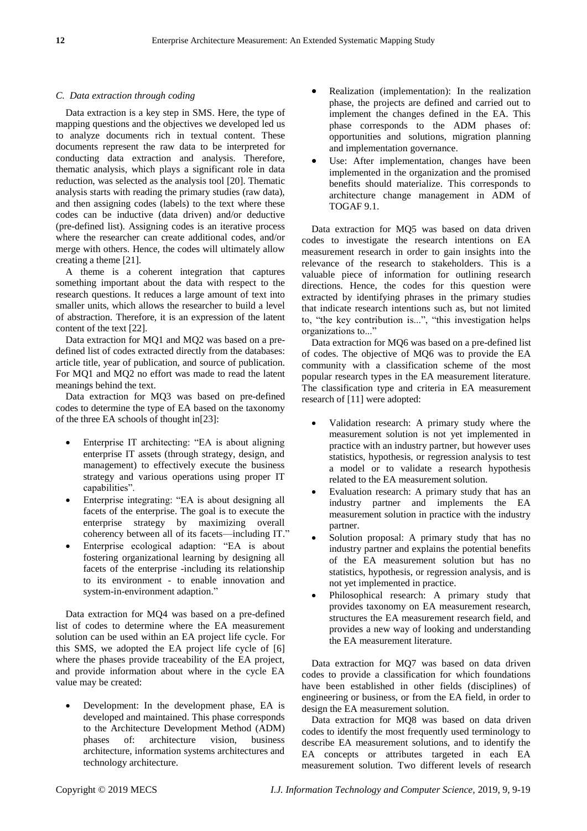#### *C. Data extraction through coding*

Data extraction is a key step in SMS. Here, the type of mapping questions and the objectives we developed led us to analyze documents rich in textual content. These documents represent the raw data to be interpreted for conducting data extraction and analysis. Therefore, thematic analysis, which plays a significant role in data reduction, was selected as the analysis tool [20]. Thematic analysis starts with reading the primary studies (raw data), and then assigning codes (labels) to the text where these codes can be inductive (data driven) and/or deductive (pre-defined list). Assigning codes is an iterative process where the researcher can create additional codes, and/or merge with others. Hence, the codes will ultimately allow creating a theme [21].

A theme is a coherent integration that captures something important about the data with respect to the research questions. It reduces a large amount of text into smaller units, which allows the researcher to build a level of abstraction. Therefore, it is an expression of the latent content of the text [22].

Data extraction for MQ1 and MQ2 was based on a predefined list of codes extracted directly from the databases: article title, year of publication, and source of publication. For MQ1 and MQ2 no effort was made to read the latent meanings behind the text.

Data extraction for MQ3 was based on pre-defined codes to determine the type of EA based on the taxonomy of the three EA schools of thought in[23]:

- Enterprise IT architecting: "EA is about aligning enterprise IT assets (through strategy, design, and management) to effectively execute the business strategy and various operations using proper IT capabilities".
- Enterprise integrating: "EA is about designing all facets of the enterprise. The goal is to execute the enterprise strategy by maximizing overall coherency between all of its facets—including IT."
- Enterprise ecological adaption: "EA is about fostering organizational learning by designing all facets of the enterprise -including its relationship to its environment - to enable innovation and system-in-environment adaption."

Data extraction for MQ4 was based on a pre-defined list of codes to determine where the EA measurement solution can be used within an EA project life cycle. For this SMS, we adopted the EA project life cycle of [6] where the phases provide traceability of the EA project, and provide information about where in the cycle EA value may be created:

 Development: In the development phase, EA is developed and maintained. This phase corresponds to the Architecture Development Method (ADM) phases of: architecture vision, business architecture, information systems architectures and technology architecture.

- Realization (implementation): In the realization phase, the projects are defined and carried out to implement the changes defined in the EA. This phase corresponds to the ADM phases of: opportunities and solutions, migration planning and implementation governance.
- Use: After implementation, changes have been implemented in the organization and the promised benefits should materialize. This corresponds to architecture change management in ADM of TOGAF 9.1.

Data extraction for MQ5 was based on data driven codes to investigate the research intentions on EA measurement research in order to gain insights into the relevance of the research to stakeholders. This is a valuable piece of information for outlining research directions. Hence, the codes for this question were extracted by identifying phrases in the primary studies that indicate research intentions such as, but not limited to, "the key contribution is...", "this investigation helps organizations to..."

Data extraction for MQ6 was based on a pre-defined list of codes. The objective of MQ6 was to provide the EA community with a classification scheme of the most popular research types in the EA measurement literature. The classification type and criteria in EA measurement research of [11] were adopted:

- Validation research: A primary study where the measurement solution is not yet implemented in practice with an industry partner, but however uses statistics, hypothesis, or regression analysis to test a model or to validate a research hypothesis related to the EA measurement solution.
- Evaluation research: A primary study that has an industry partner and implements the EA measurement solution in practice with the industry partner.
- Solution proposal: A primary study that has no industry partner and explains the potential benefits of the EA measurement solution but has no statistics, hypothesis, or regression analysis, and is not yet implemented in practice.
- Philosophical research: A primary study that provides taxonomy on EA measurement research, structures the EA measurement research field, and provides a new way of looking and understanding the EA measurement literature.

Data extraction for MQ7 was based on data driven codes to provide a classification for which foundations have been established in other fields (disciplines) of engineering or business, or from the EA field, in order to design the EA measurement solution.

Data extraction for MQ8 was based on data driven codes to identify the most frequently used terminology to describe EA measurement solutions, and to identify the EA concepts or attributes targeted in each EA measurement solution. Two different levels of research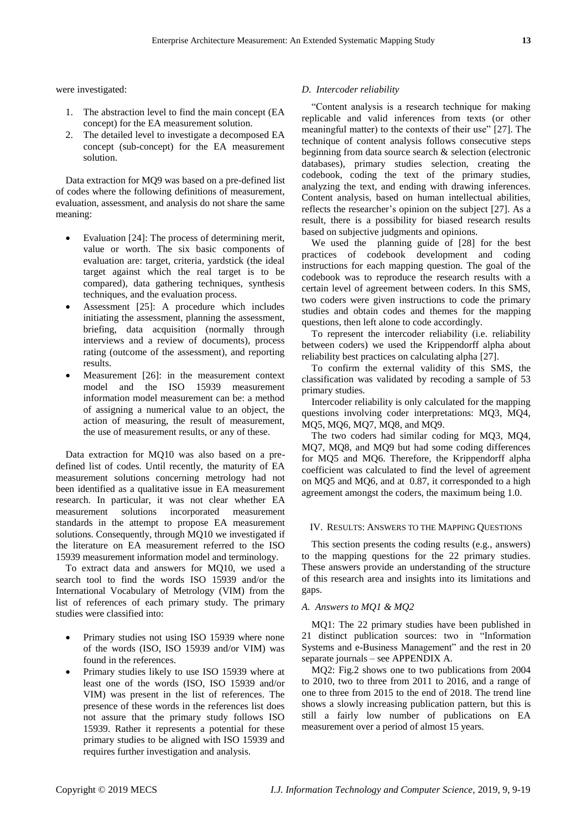were investigated:

- 1. The abstraction level to find the main concept (EA concept) for the EA measurement solution.
- 2. The detailed level to investigate a decomposed EA concept (sub-concept) for the EA measurement solution.

Data extraction for MQ9 was based on a pre-defined list of codes where the following definitions of measurement, evaluation, assessment, and analysis do not share the same meaning:

- Evaluation [24]: The process of determining merit, value or worth. The six basic components of evaluation are: target, criteria, yardstick (the ideal target against which the real target is to be compared), data gathering techniques, synthesis techniques, and the evaluation process.
- Assessment [25]: A procedure which includes initiating the assessment, planning the assessment, briefing, data acquisition (normally through interviews and a review of documents), process rating (outcome of the assessment), and reporting results.
- Measurement [26]: in the measurement context model and the ISO 15939 measurement information model measurement can be: a method of assigning a numerical value to an object, the action of measuring, the result of measurement, the use of measurement results, or any of these.

Data extraction for MQ10 was also based on a predefined list of codes. Until recently, the maturity of EA measurement solutions concerning metrology had not been identified as a qualitative issue in EA measurement research. In particular, it was not clear whether EA measurement solutions incorporated measurement standards in the attempt to propose EA measurement solutions. Consequently, through MQ10 we investigated if the literature on EA measurement referred to the ISO 15939 measurement information model and terminology.

To extract data and answers for MQ10, we used a search tool to find the words ISO 15939 and/or the International Vocabulary of Metrology (VIM) from the list of references of each primary study. The primary studies were classified into:

- Primary studies not using ISO 15939 where none of the words (ISO, ISO 15939 and/or VIM) was found in the references.
- Primary studies likely to use ISO 15939 where at least one of the words (ISO, ISO 15939 and/or VIM) was present in the list of references. The presence of these words in the references list does not assure that the primary study follows ISO 15939. Rather it represents a potential for these primary studies to be aligned with ISO 15939 and requires further investigation and analysis.

## *D. Intercoder reliability*

―Content analysis is a research technique for making replicable and valid inferences from texts (or other meaningful matter) to the contexts of their use" [27]. The technique of content analysis follows consecutive steps beginning from data source search & selection (electronic databases), primary studies selection, creating the codebook, coding the text of the primary studies, analyzing the text, and ending with drawing inferences. Content analysis, based on human intellectual abilities, reflects the researcher's opinion on the subject [27]. As a result, there is a possibility for biased research results based on subjective judgments and opinions.

We used the planning guide of [28] for the best practices of codebook development and coding instructions for each mapping question. The goal of the codebook was to reproduce the research results with a certain level of agreement between coders. In this SMS, two coders were given instructions to code the primary studies and obtain codes and themes for the mapping questions, then left alone to code accordingly.

To represent the intercoder reliability (i.e. reliability between coders) we used the Krippendorff alpha about reliability best practices on calculating alpha [27].

To confirm the external validity of this SMS, the classification was validated by recoding a sample of 53 primary studies.

Intercoder reliability is only calculated for the mapping questions involving coder interpretations: MQ3, MQ4, MQ5, MQ6, MQ7, MQ8, and MQ9.

The two coders had similar coding for MQ3, MQ4, MQ7, MQ8, and MQ9 but had some coding differences for MQ5 and MQ6. Therefore, the Krippendorff alpha coefficient was calculated to find the level of agreement on MQ5 and MQ6, and at 0.87, it corresponded to a high agreement amongst the coders, the maximum being 1.0.

## IV. RESULTS: ANSWERS TO THE MAPPING QUESTIONS

This section presents the coding results (e.g., answers) to the mapping questions for the 22 primary studies. These answers provide an understanding of the structure of this research area and insights into its limitations and gaps.

## *A. Answers to MQ1 & MQ2*

MQ1: The 22 primary studies have been published in 21 distinct publication sources: two in "Information Systems and e-Business Management" and the rest in 20 separate journals – see APPENDIX A.

MQ2: Fig.2 shows one to two publications from 2004 to 2010, two to three from 2011 to 2016, and a range of one to three from 2015 to the end of 2018. The trend line shows a slowly increasing publication pattern, but this is still a fairly low number of publications on EA measurement over a period of almost 15 years.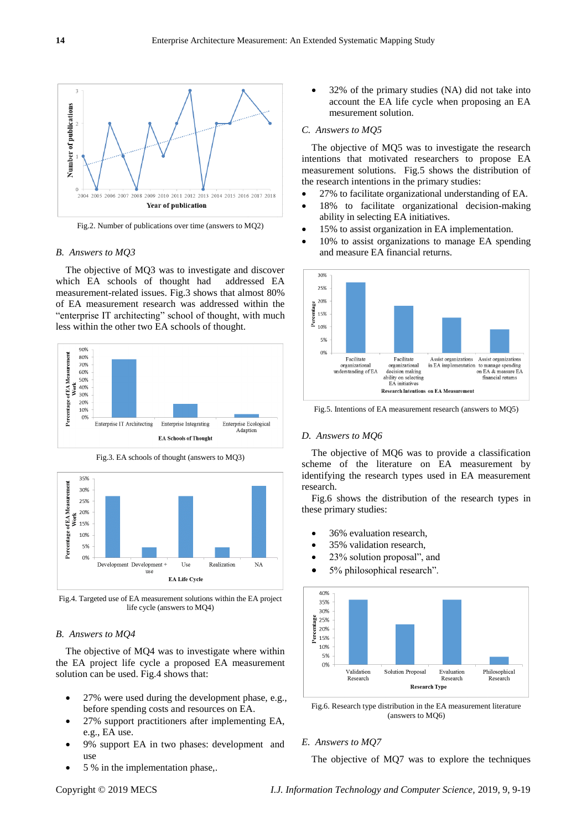

Fig.2. Number of publications over time (answers to MQ2)

## *B. Answers to MQ3*

The objective of MQ3 was to investigate and discover which EA schools of thought had addressed EA measurement-related issues. Fig.3 shows that almost 80% of EA measurement research was addressed within the "enterprise IT architecting" school of thought, with much less within the other two EA schools of thought.



Fig.3. EA schools of thought (answers to MQ3)



Fig.4. Targeted use of EA measurement solutions within the EA project life cycle (answers to MQ4)

#### *B. Answers to MQ4*

The objective of MQ4 was to investigate where within the EA project life cycle a proposed EA measurement solution can be used. Fig.4 shows that:

- 27% were used during the development phase, e.g., before spending costs and resources on EA.
- 27% support practitioners after implementing EA, e.g., EA use.
- 9% support EA in two phases: development and use
- 5 % in the implementation phase,.

 32% of the primary studies (NA) did not take into account the EA life cycle when proposing an EA mesurement solution.

#### *C. Answers to MQ5*

The objective of MQ5 was to investigate the research intentions that motivated researchers to propose EA measurement solutions. Fig.5 shows the distribution of the research intentions in the primary studies:

- 27% to facilitate organizational understanding of EA.
- 18% to facilitate organizational decision-making ability in selecting EA initiatives.
- 15% to assist organization in EA implementation.
- 10% to assist organizations to manage EA spending and measure EA financial returns.



Fig.5. Intentions of EA measurement research (answers to MQ5)

#### *D. Answers to MQ6*

The objective of MQ6 was to provide a classification scheme of the literature on EA measurement by identifying the research types used in EA measurement research.

Fig.6 shows the distribution of the research types in these primary studies:

- 36% evaluation research,
- 35% validation research,
- 23% solution proposal", and
- $\bullet$  5% philosophical research".



Fig.6. Research type distribution in the EA measurement literature (answers to MQ6)

# *E. Answers to MQ7*

The objective of MQ7 was to explore the techniques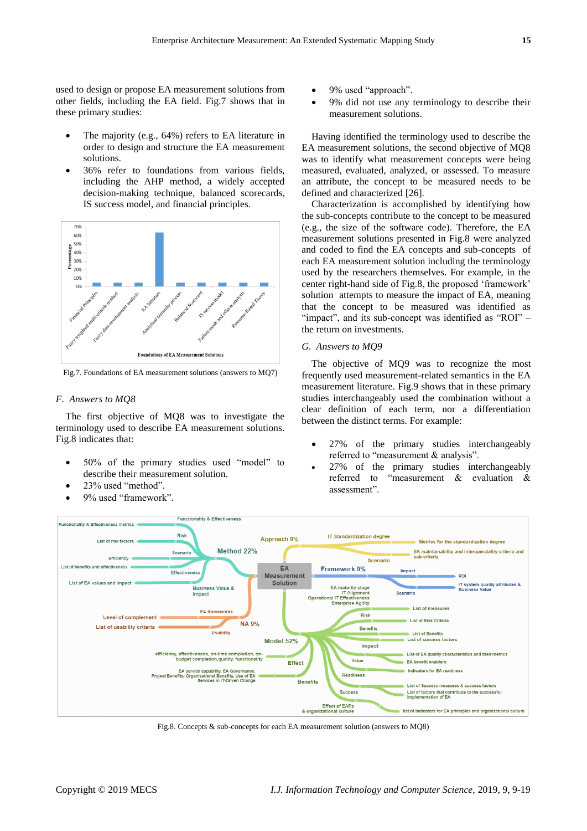used to design or propose EA measurement solutions from other fields, including the EA field. Fig.7 shows that in these primary studies:

- The majority (e.g., 64%) refers to EA literature in order to design and structure the EA measurement solutions.
- 36% refer to foundations from various fields, including the AHP method, a widely accepted decision-making technique, balanced scorecards, IS success model, and financial principles.



Fig.7. Foundations of EA measurement solutions (answers to MQ7)

#### *F. Answers to MQ8*

The first objective of MQ8 was to investigate the terminology used to describe EA measurement solutions. Fig.8 indicates that:

- 50% of the primary studies used "model" to describe their measurement solution.
- 23% used "method".
- 9% used "framework".
- 9% used "approach".
- 9% did not use any terminology to describe their measurement solutions.

Having identified the terminology used to describe the EA measurement solutions, the second objective of MQ8 was to identify what measurement concepts were being measured, evaluated, analyzed, or assessed. To measure an attribute, the concept to be measured needs to be defined and characterized [26].

Characterization is accomplished by identifying how the sub-concepts contribute to the concept to be measured (e.g., the size of the software code). Therefore, the EA measurement solutions presented in Fig.8 were analyzed and coded to find the EA concepts and sub-concepts of each EA measurement solution including the terminology used by the researchers themselves. For example, in the center right-hand side of Fig.8, the proposed 'framework' solution attempts to measure the impact of EA, meaning that the concept to be measured was identified as "impact", and its sub-concept was identified as "ROI" – the return on investments.

#### *G. Answers to MQ9*

The objective of MQ9 was to recognize the most frequently used measurement-related semantics in the EA measurement literature. Fig.9 shows that in these primary studies interchangeably used the combination without a clear definition of each term, nor a differentiation between the distinct terms. For example:

- 27% of the primary studies interchangeably referred to "measurement  $&$  analysis".
- 27% of the primary studies interchangeably referred to "measurement  $\&$  evaluation  $\&$ assessment".



Fig.8. Concepts & sub-concepts for each EA measurement solution (answers to MQ8)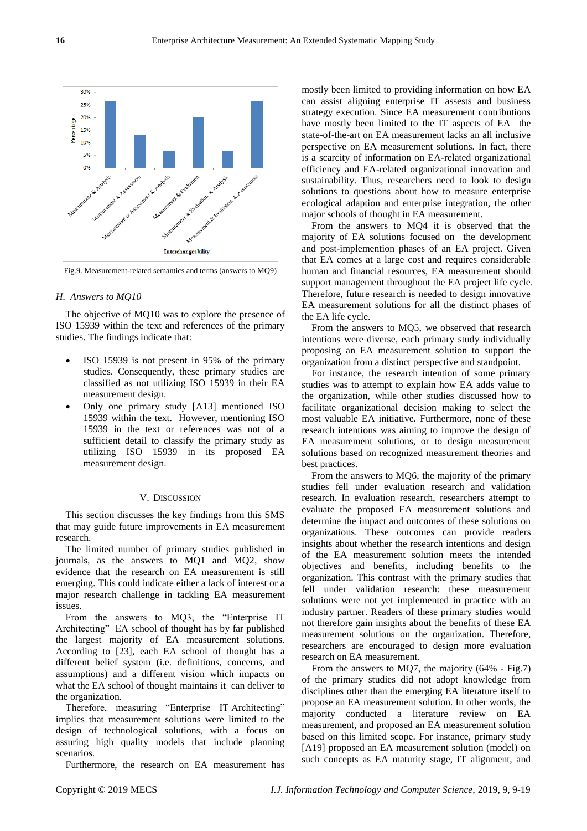

Fig.9. Measurement-related semantics and terms (answers to MQ9)

### *H. Answers to MQ10*

The objective of MQ10 was to explore the presence of ISO 15939 within the text and references of the primary studies. The findings indicate that:

- ISO 15939 is not present in 95% of the primary studies. Consequently, these primary studies are classified as not utilizing ISO 15939 in their EA measurement design.
- Only one primary study [A13] mentioned ISO 15939 within the text. However, mentioning ISO 15939 in the text or references was not of a sufficient detail to classify the primary study as utilizing ISO 15939 in its proposed EA measurement design.

#### V. DISCUSSION

This section discusses the key findings from this SMS that may guide future improvements in EA measurement research.

The limited number of primary studies published in journals, as the answers to MQ1 and MQ2, show evidence that the research on EA measurement is still emerging. This could indicate either a lack of interest or a major research challenge in tackling EA measurement issues.

From the answers to MQ3, the "Enterprise IT Architecting" EA school of thought has by far published the largest majority of EA measurement solutions. According to [23], each EA school of thought has a different belief system (i.e. definitions, concerns, and assumptions) and a different vision which impacts on what the EA school of thought maintains it can deliver to the organization.

Therefore, measuring "Enterprise IT Architecting" implies that measurement solutions were limited to the design of technological solutions, with a focus on assuring high quality models that include planning scenarios.

Furthermore, the research on EA measurement has

mostly been limited to providing information on how EA can assist aligning enterprise IT assests and business strategy execution. Since EA measurement contributions have mostly been limited to the IT aspects of EA the state-of-the-art on EA measurement lacks an all inclusive perspective on EA measurement solutions. In fact, there is a scarcity of information on EA-related organizational efficiency and EA-related organizational innovation and sustainability. Thus, researchers need to look to design solutions to questions about how to measure enterprise ecological adaption and enterprise integration, the other major schools of thought in EA measurement.

From the answers to MQ4 it is observed that the majority of EA solutions focused on the development and post-implemention phases of an EA project. Given that EA comes at a large cost and requires considerable human and financial resources, EA measurement should support management throughout the EA project life cycle. Therefore, future research is needed to design innovative EA measurement solutions for all the distinct phases of the EA life cycle.

From the answers to MQ5, we observed that research intentions were diverse, each primary study individually proposing an EA measurement solution to support the organization from a distinct perspective and standpoint.

For instance, the research intention of some primary studies was to attempt to explain how EA adds value to the organization, while other studies discussed how to facilitate organizational decision making to select the most valuable EA initiative. Furthermore, none of these research intentions was aiming to improve the design of EA measurement solutions, or to design measurement solutions based on recognized measurement theories and best practices.

From the answers to MQ6, the majority of the primary studies fell under evaluation research and validation research. In evaluation research, researchers attempt to evaluate the proposed EA measurement solutions and determine the impact and outcomes of these solutions on organizations. These outcomes can provide readers insights about whether the research intentions and design of the EA measurement solution meets the intended objectives and benefits, including benefits to the organization. This contrast with the primary studies that fell under validation research: these measurement solutions were not yet implemented in practice with an industry partner. Readers of these primary studies would not therefore gain insights about the benefits of these EA measurement solutions on the organization. Therefore, researchers are encouraged to design more evaluation research on EA measurement.

From the answers to MQ7, the majority (64% - Fig.7) of the primary studies did not adopt knowledge from disciplines other than the emerging EA literature itself to propose an EA measurement solution. In other words, the majority conducted a literature review on EA measurement, and proposed an EA measurement solution based on this limited scope. For instance, primary study [A19] proposed an EA measurement solution (model) on such concepts as EA maturity stage, IT alignment, and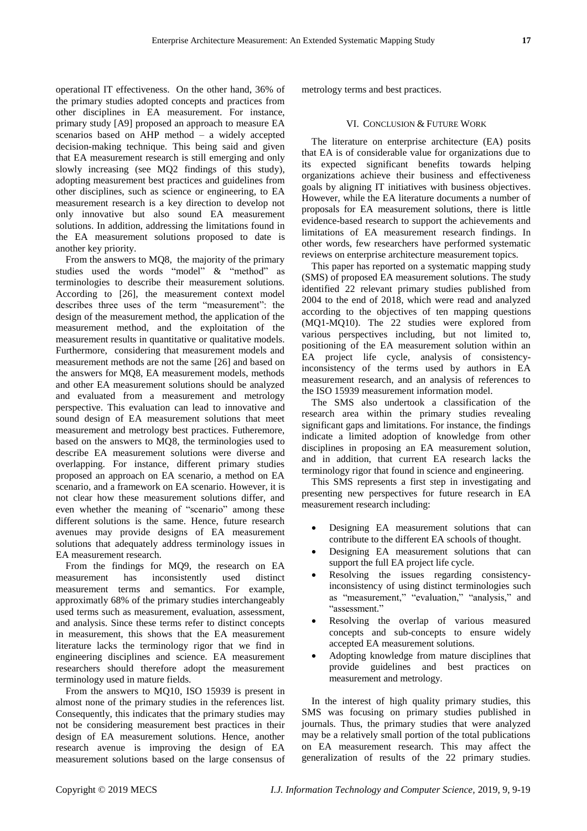operational IT effectiveness. On the other hand, 36% of the primary studies adopted concepts and practices from other disciplines in EA measurement. For instance, primary study [A9] proposed an approach to measure EA scenarios based on AHP method – a widely accepted decision-making technique. This being said and given that EA measurement research is still emerging and only slowly increasing (see MQ2 findings of this study), adopting measurement best practices and guidelines from other disciplines, such as science or engineering, to EA measurement research is a key direction to develop not only innovative but also sound EA measurement solutions. In addition, addressing the limitations found in the EA measurement solutions proposed to date is another key priority.

From the answers to MQ8, the majority of the primary studies used the words "model" & "method" as terminologies to describe their measurement solutions. According to [26], the measurement context model describes three uses of the term "measurement": the design of the measurement method, the application of the measurement method, and the exploitation of the measurement results in quantitative or qualitative models. Furthermore, considering that measurement models and measurement methods are not the same [26] and based on the answers for MQ8, EA measurement models, methods and other EA measurement solutions should be analyzed and evaluated from a measurement and metrology perspective. This evaluation can lead to innovative and sound design of EA measurement solutions that meet measurement and metrology best practices. Futheremore, based on the answers to MQ8, the terminologies used to describe EA measurement solutions were diverse and overlapping. For instance, different primary studies proposed an approach on EA scenario, a method on EA scenario, and a framework on EA scenario. However, it is not clear how these measurement solutions differ, and even whether the meaning of "scenario" among these different solutions is the same. Hence, future research avenues may provide designs of EA measurement solutions that adequately address terminology issues in EA measurement research.

From the findings for MQ9, the research on EA measurement has inconsistently used distinct measurement terms and semantics. For example, approximatly 68% of the primary studies interchangeably used terms such as measurement, evaluation, assessment, and analysis. Since these terms refer to distinct concepts in measurement, this shows that the EA measurement literature lacks the terminology rigor that we find in engineering disciplines and science. EA measurement researchers should therefore adopt the measurement terminology used in mature fields.

From the answers to MQ10, ISO 15939 is present in almost none of the primary studies in the references list. Consequently, this indicates that the primary studies may not be considering measurement best practices in their design of EA measurement solutions. Hence, another research avenue is improving the design of EA measurement solutions based on the large consensus of metrology terms and best practices.

## VI. CONCLUSION & FUTURE WORK

The literature on enterprise architecture (EA) posits that EA is of considerable value for organizations due to its expected significant benefits towards helping organizations achieve their business and effectiveness goals by aligning IT initiatives with business objectives. However, while the EA literature documents a number of proposals for EA measurement solutions, there is little evidence-based research to support the achievements and limitations of EA measurement research findings. In other words, few researchers have performed systematic reviews on enterprise architecture measurement topics.

This paper has reported on a systematic mapping study (SMS) of proposed EA measurement solutions. The study identified 22 relevant primary studies published from 2004 to the end of 2018, which were read and analyzed according to the objectives of ten mapping questions (MQ1-MQ10). The 22 studies were explored from various perspectives including, but not limited to, positioning of the EA measurement solution within an EA project life cycle, analysis of consistencyinconsistency of the terms used by authors in EA measurement research, and an analysis of references to the ISO 15939 measurement information model.

The SMS also undertook a classification of the research area within the primary studies revealing significant gaps and limitations. For instance, the findings indicate a limited adoption of knowledge from other disciplines in proposing an EA measurement solution, and in addition, that current EA research lacks the terminology rigor that found in science and engineering.

This SMS represents a first step in investigating and presenting new perspectives for future research in EA measurement research including:

- Designing EA measurement solutions that can contribute to the different EA schools of thought.
- Designing EA measurement solutions that can support the full EA project life cycle.
- Resolving the issues regarding consistencyinconsistency of using distinct terminologies such as "measurement," "evaluation," "analysis," and "assessment."
- Resolving the overlap of various measured concepts and sub-concepts to ensure widely accepted EA measurement solutions.
- Adopting knowledge from mature disciplines that provide guidelines and best practices on measurement and metrology.

In the interest of high quality primary studies, this SMS was focusing on primary studies published in journals. Thus, the primary studies that were analyzed may be a relatively small portion of the total publications on EA measurement research. This may affect the generalization of results of the 22 primary studies.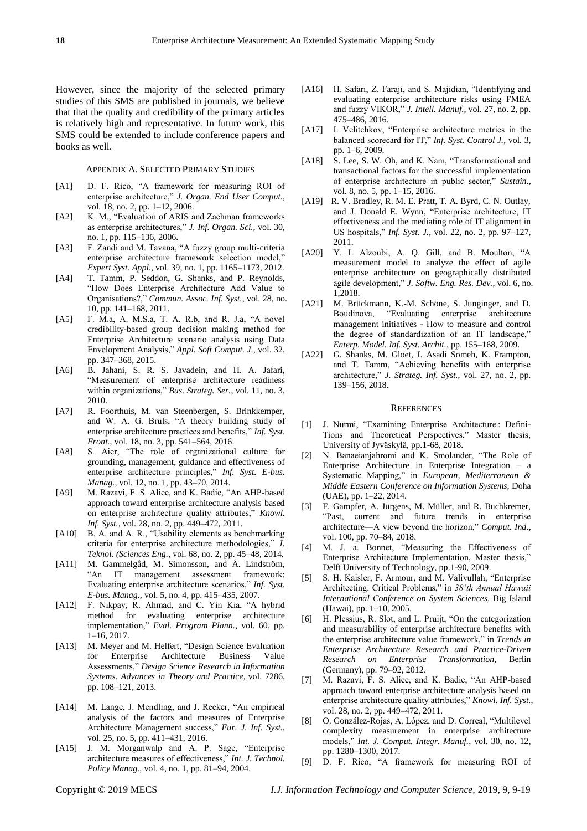However, since the majority of the selected primary studies of this SMS are published in journals, we believe that that the quality and credibility of the primary articles is relatively high and representative. In future work, this SMS could be extended to include conference papers and books as well.

#### APPENDIX A. SELECTED PRIMARY STUDIES

- [A1] D. F. Rico, "A framework for measuring ROI of enterprise architecture," J. Organ. End User Comput., vol. 18, no. 2, pp. 1–12, 2006.
- [A2] K. M., "Evaluation of ARIS and Zachman frameworks as enterprise architectures," *J. Inf. Organ. Sci.*, vol. 30, no. 1, pp. 115–136, 2006.
- [A3] F. Zandi and M. Tavana, "A fuzzy group multi-criteria enterprise architecture framework selection model," *Expert Syst. Appl.*, vol. 39, no. 1, pp. 1165–1173, 2012.
- [A4] T. Tamm, P. Seddon, G. Shanks, and P. Reynolds, ―How Does Enterprise Architecture Add Value to Organisations?," *Commun. Assoc. Inf. Syst.*, vol. 28, no. 10, pp. 141–168, 2011.
- $[A5]$  F. M.a, A. M.S.a, T. A. R.b, and R. J.a, "A novel credibility-based group decision making method for Enterprise Architecture scenario analysis using Data Envelopment Analysis," Appl. Soft Comput. J., vol. 32, pp. 347–368, 2015.
- [A6] B. Jahani, S. R. S. Javadein, and H. A. Jafari, "Measurement of enterprise architecture readiness within organizations," Bus. Strateg. Ser., vol. 11, no. 3, 2010.
- [A7] R. Foorthuis, M. van Steenbergen, S. Brinkkemper, and W. A. G. Bruls, "A theory building study of enterprise architecture practices and benefits," *Inf. Syst. Front.*, vol. 18, no. 3, pp. 541–564, 2016.
- [A8] S. Aier, "The role of organizational culture for grounding, management, guidance and effectiveness of enterprise architecture principles," *Inf. Syst. E-bus. Manag.*, vol. 12, no. 1, pp. 43–70, 2014.
- [A9] M. Razavi, F. S. Aliee, and K. Badie, "An AHP-based" approach toward enterprise architecture analysis based on enterprise architecture quality attributes," *Knowl. Inf. Syst.*, vol. 28, no. 2, pp. 449–472, 2011.
- [A10] B. A. and A. R., "Usability elements as benchmarking criteria for enterprise architecture methodologies," *J. Teknol. (Sciences Eng.*, vol. 68, no. 2, pp. 45–48, 2014.
- [A11] M. Gammelgåd, M. Simonsson, and Å. Lindström, ―An IT management assessment framework: Evaluating enterprise architecture scenarios," Inf. Syst. *E-bus. Manag.*, vol. 5, no. 4, pp. 415–435, 2007.
- [A12] F. Nikpay, R. Ahmad, and C. Yin Kia, "A hybrid method for evaluating enterprise architecture implementation," *Eval. Program Plann.*, vol. 60, pp. 1–16, 2017.
- [A13] M. Meyer and M. Helfert, "Design Science Evaluation for Enterprise Architecture Business Value Assessments,‖ *[Design Science Research in Information](https://link.springer.com/book/10.1007/978-3-642-29863-9)  [Systems. Advances in Theory and Practice,](https://link.springer.com/book/10.1007/978-3-642-29863-9)* vol. 7286, pp. 108–121, 2013.
- [A14] M. Lange, J. Mendling, and J. Recker, "An empirical analysis of the factors and measures of Enterprise Architecture Management success," *Eur. J. Inf. Syst.*, vol. 25, no. 5, pp. 411–431, 2016.
- [A15] J. M. Morganwalp and A. P. Sage, "Enterprise architecture measures of effectiveness," Int. J. Technol. *Policy Manag.*, vol. 4, no. 1, pp. 81–94, 2004.
- [A16] H. Safari, Z. Faraji, and S. Majidian, "Identifying and evaluating enterprise architecture risks using FMEA and fuzzy VIKOR," *J. Intell. Manuf.*, vol. 27, no. 2, pp. 475–486, 2016.
- [A17] I. Velitchkov, "Enterprise architecture metrics in the balanced scorecard for IT," *Inf. Syst. Control J.*, vol. 3, pp. 1–6, 2009.
- [A18] S. Lee, S. W. Oh, and K. Nam, "Transformational and transactional factors for the successful implementation of enterprise architecture in public sector," Sustain., vol. 8, no. 5, pp. 1–15, 2016.
- [A19] R. V. Bradley, R. M. E. Pratt, T. A. Byrd, C. N. Outlay, and J. Donald E. Wynn, "Enterprise architecture, IT effectiveness and the mediating role of IT alignment in US hospitals," *Inf. Syst. J.*, vol. 22, no. 2, pp. 97-127, 2011.
- [A20] Y. I. Alzoubi, A. Q. Gill, and B. Moulton, "A measurement model to analyze the effect of agile enterprise architecture on geographically distributed agile development," *J. Softw. Eng. Res. Dev.*, vol. 6, no. 1,2018.
- [A21] M. Brückmann, K.-M. Schöne, S. Junginger, and D. Boudinova, "Evaluating enterprise architecture management initiatives - How to measure and control the degree of standardization of an IT landscape," *Enterp. Model. Inf. Syst. Archit.*, pp. 155–168, 2009.
- [A22] G. Shanks, M. Gloet, I. Asadi Someh, K. Frampton, and T. Tamm, "Achieving benefits with enterprise architecture," *J. Strateg. Inf. Syst.*, vol. 27, no. 2, pp. 139–156, 2018.

#### **REFERENCES**

- [1] J. Nurmi, "Examining Enterprise Architecture : Defini-Tions and Theoretical Perspectives," Master thesis, University of Jyväskylä, pp.1-68, 2018.
- [2] N. Banaeianjahromi and K. Smolander, "The Role of Enterprise Architecture in Enterprise Integration – a Systematic Mapping," in *European, Mediterranean & Middle Eastern Conference on Information Systems,* Doha (UAE), pp. 1–22, 2014.
- [3] F. Gampfer, A. Jürgens, M. Müller, and R. Buchkremer, ―Past, current and future trends in enterprise architecture—A view beyond the horizon," Comput. Ind., vol. 100, pp. 70–84, 2018.
- [4] M. J. a. Bonnet, "Measuring the Effectiveness of Enterprise Architecture Implementation, Master thesis," Delft University of Technology, pp.1-90, 2009.
- [5] S. H. Kaisler, F. Armour, and M. Valivullah, "Enterprise" Architecting: Critical Problems," in 38'th Annual Hawaii *International Conference on System Sciences,* Big Island (Hawai), pp. 1–10, 2005.
- [6] H. Plessius, R. Slot, and L. Pruijt, "On the categorization and measurability of enterprise architecture benefits with the enterprise architecture value framework," in *Trends in Enterprise Architecture Research and Practice-Driven Research on Enterprise Transformation,* Berlin (Germany), pp. 79–92, 2012.
- [7] M. Razavi, F. S. Aliee, and K. Badie, "An AHP-based approach toward enterprise architecture analysis based on enterprise architecture quality attributes," *Knowl. Inf. Syst.*, vol. 28, no. 2, pp. 449–472, 2011.
- [8] O. Gonz ález-Rojas, A. López, and D. Correal, "Multilevel complexity measurement in enterprise architecture models," *Int. J. Comput. Integr. Manuf.*, vol. 30, no. 12, pp. 1280–1300, 2017.
- [9] D. F. Rico, "A framework for measuring ROI of